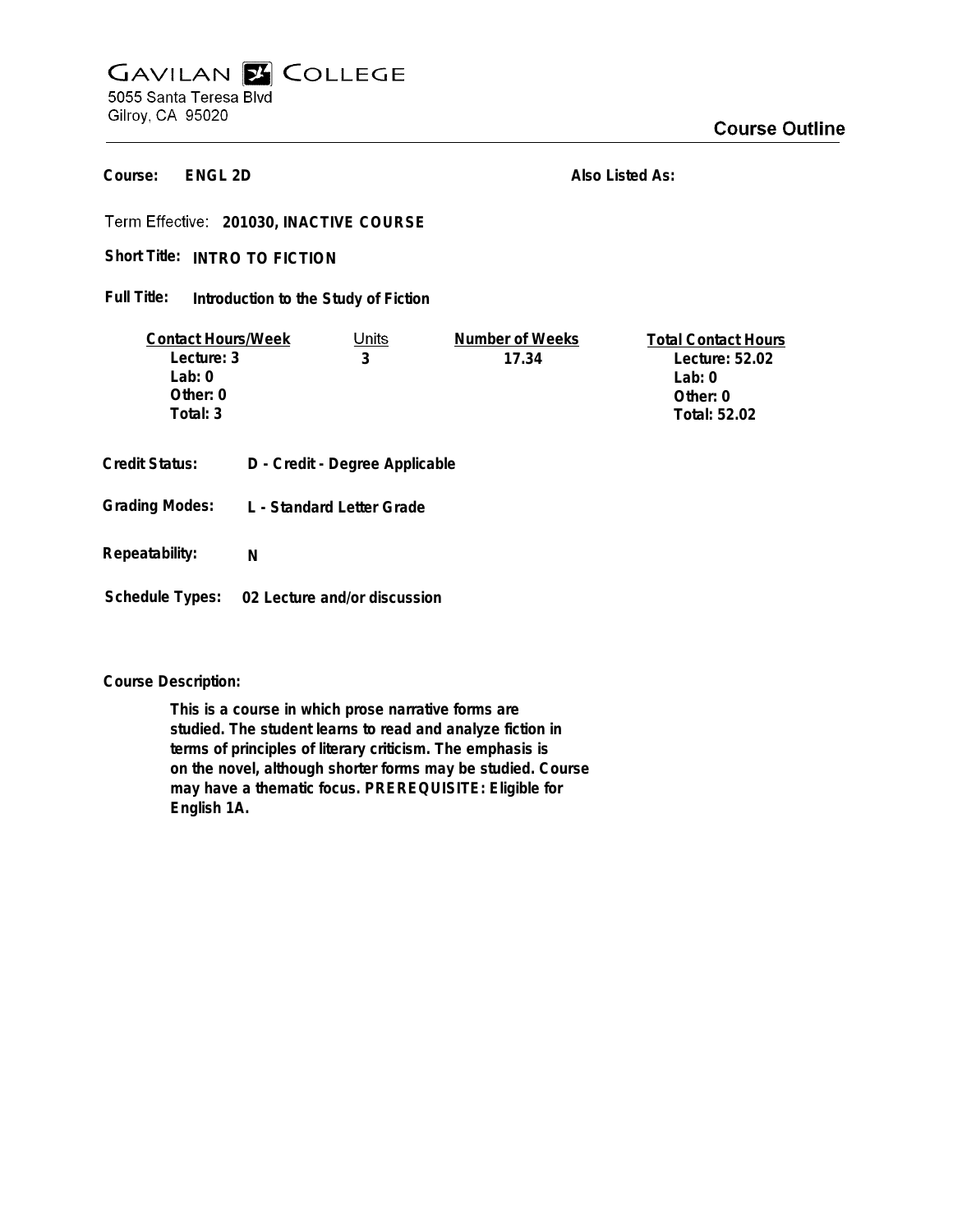## **GAVILAN E COLLEGE** 5055 Santa Teresa Blvd Gilroy, CA 95020

**ENGL 2D Course:**

**Also Listed As:**

**201030, INACTIVE COURSE**

Short Title: INTRO TO FICTION

**Introduction to the Study of Fiction Full Title:**

| <b>Contact Hours/Week</b>                                        |                                                                  | Units | Number of Weeks | <b>Total Contact Hours</b> |
|------------------------------------------------------------------|------------------------------------------------------------------|-------|-----------------|----------------------------|
| Lecture: 3                                                       |                                                                  | 3     | 17.34           | Lecture: 52.02             |
| Lab: $0$                                                         |                                                                  |       |                 | Lab: $0$                   |
| Other: 0                                                         |                                                                  |       |                 | Other: $0$                 |
| Total: 3                                                         |                                                                  |       |                 | <b>Total: 52.02</b>        |
| <b>Credit Status:</b><br><b>Grading Modes:</b><br>Repeatability: | D - Credit - Degree Applicable<br>L - Standard Letter Grade<br>N |       |                 |                            |
|                                                                  |                                                                  |       |                 |                            |

**Schedule Types: 02 Lecture and/or discussion**

**Course Description:**

**This is a course in which prose narrative forms are studied. The student learns to read and analyze fiction in terms of principles of literary criticism. The emphasis is on the novel, although shorter forms may be studied. Course may have a thematic focus. PREREQUISITE: Eligible for English 1A.**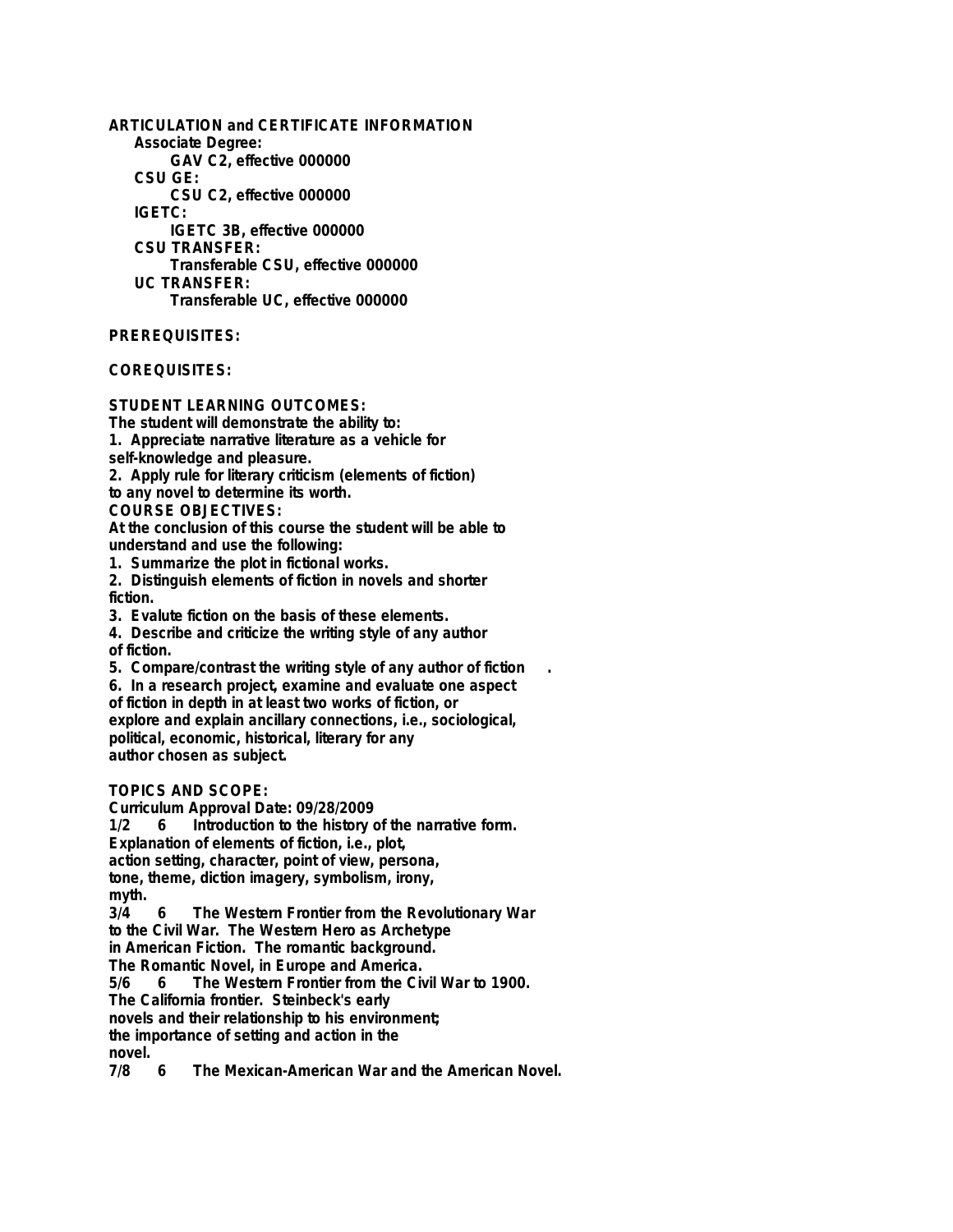**ARTICULATION and CERTIFICATE INFORMATION Associate Degree: GAV C2, effective 000000 CSU GE: CSU C2, effective 000000 IGETC: IGETC 3B, effective 000000 CSU TRANSFER: Transferable CSU, effective 000000 UC TRANSFER: Transferable UC, effective 000000**

## **PREREQUISITES:**

**COREQUISITES:**

**STUDENT LEARNING OUTCOMES:**

**The student will demonstrate the ability to:**

**1. Appreciate narrative literature as a vehicle for**

**self-knowledge and pleasure.**

**2. Apply rule for literary criticism (elements of fiction) to any novel to determine its worth.**

**COURSE OBJECTIVES:**

**At the conclusion of this course the student will be able to understand and use the following:**

**1. Summarize the plot in fictional works.**

**2. Distinguish elements of fiction in novels and shorter fiction.**

**3. Evalute fiction on the basis of these elements.**

**4. Describe and criticize the writing style of any author of fiction.**

**5. Compare/contrast the writing style of any author of fiction .**

**6. In a research project, examine and evaluate one aspect of fiction in depth in at least two works of fiction, or explore and explain ancillary connections, i.e., sociological, political, economic, historical, literary for any author chosen as subject.**

**TOPICS AND SCOPE:**

**Curriculum Approval Date: 09/28/2009 1/2 6 Introduction to the history of the narrative form. Explanation of elements of fiction, i.e., plot, action setting, character, point of view, persona, tone, theme, diction imagery, symbolism, irony, myth. 3/4 6 The Western Frontier from the Revolutionary War to the Civil War. The Western Hero as Archetype in American Fiction. The romantic background. The Romantic Novel, in Europe and America. 5/6 6 The Western Frontier from the Civil War to 1900. The California frontier. Steinbeck's early novels and their relationship to his environment; the importance of setting and action in the novel.**

**7/8 6 The Mexican-American War and the American Novel.**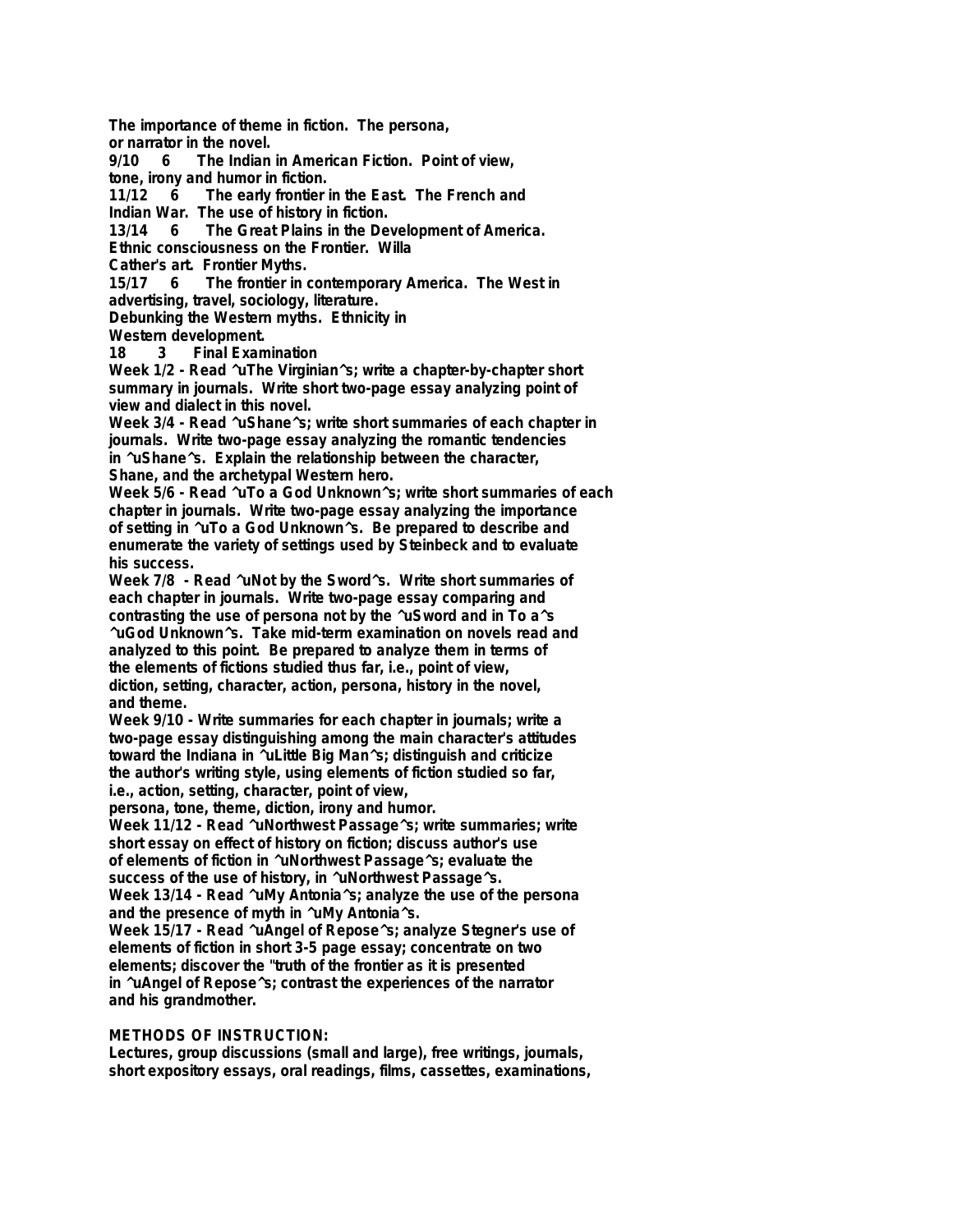**The importance of theme in fiction. The persona, or narrator in the novel.**

**9/10 6 The Indian in American Fiction. Point of view,**

**tone, irony and humor in fiction.**

**11.12 The early frontier in the East. The French and** 

**Indian War. The use of history in fiction.**

**13/14 6 The Great Plains in the Development of America.**

**Ethnic consciousness on the Frontier. Willa**

**Cather's art. Frontier Myths.**

**15/17 6 The frontier in contemporary America. The West in**

**advertising, travel, sociology, literature.**

**Debunking the Western myths. Ethnicity in**

**Western development.**

**18 3 Final Examination**

**Week 1/2 - Read ^uThe Virginian^s; write a chapter-by-chapter short summary in journals. Write short two-page essay analyzing point of view and dialect in this novel.**

**Week 3/4 - Read ^uShane^s; write short summaries of each chapter in journals. Write two-page essay analyzing the romantic tendencies in ^uShane^s. Explain the relationship between the character, Shane, and the archetypal Western hero.**

**Week 5/6 - Read ^uTo a God Unknown^s; write short summaries of each chapter in journals. Write two-page essay analyzing the importance of setting in ^uTo a God Unknown^s. Be prepared to describe and enumerate the variety of settings used by Steinbeck and to evaluate his success.**

**Week 7/8 - Read ^uNot by the Sword^s. Write short summaries of each chapter in journals. Write two-page essay comparing and contrasting the use of persona not by the ^uSword and in To a^s ^uGod Unknown^s. Take mid-term examination on novels read and analyzed to this point. Be prepared to analyze them in terms of the elements of fictions studied thus far, i.e., point of view, diction, setting, character, action, persona, history in the novel, and theme.**

**Week 9/10 - Write summaries for each chapter in journals; write a two-page essay distinguishing among the main character's attitudes toward the Indiana in ^uLittle Big Man^s; distinguish and criticize the author's writing style, using elements of fiction studied so far, i.e., action, setting, character, point of view,**

**persona, tone, theme, diction, irony and humor.**

**Week 11/12 - Read ^uNorthwest Passage^s; write summaries; write short essay on effect of history on fiction; discuss author's use of elements of fiction in ^uNorthwest Passage^s; evaluate the success of the use of history, in ^uNorthwest Passage^s. Week 13/14 - Read ^uMy Antonia^s; analyze the use of the persona and the presence of myth in ^uMy Antonia^s.**

**Week 15/17 - Read ^uAngel of Repose^s; analyze Stegner's use of elements of fiction in short 3-5 page essay; concentrate on two elements; discover the "truth of the frontier as it is presented in ^uAngel of Repose^s; contrast the experiences of the narrator and his grandmother.**

## **METHODS OF INSTRUCTION:**

**Lectures, group discussions (small and large), free writings, journals, short expository essays, oral readings, films, cassettes, examinations,**